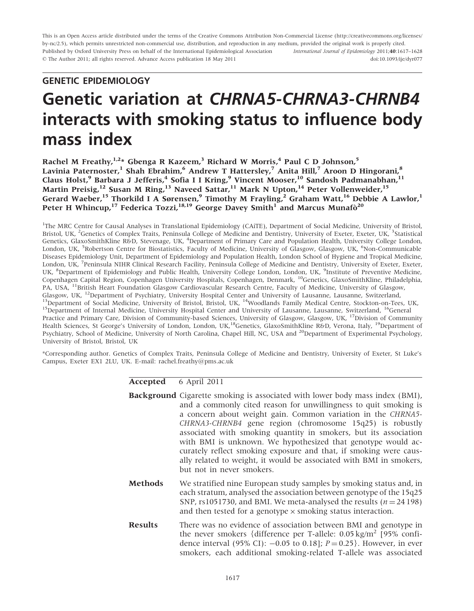This is an Open Access article distributed under the terms of the Creative Commons Attribution Non-Commercial License (http://creativecommons.org/licenses/ by-nc/2.5), which permits unrestricted non-commercial use, distribution, and reproduction in any medium, provided the original work is properly cited. Published by Oxford University Press on behalf of the International Epidemiological Association - The Author 2011; all rights reserved. Advance Access publication 18 May 2011 International Journal of Epidemiology 2011;40:1617–1628 doi:10.1093/ije/dyr077

# GENETIC EPIDEMIOLOGY

# Genetic variation at CHRNA5-CHRNA3-CHRNB4 interacts with smoking status to influence body mass index

Rachel M Freathy,  $1.2*$  Gbenga R Kazeem,<sup>3</sup> Richard W Morris,<sup>4</sup> Paul C D Johnson,<sup>5</sup> Lavinia Paternoster,<sup>1</sup> Shah Ebrahim,<sup>6</sup> Andrew T Hattersley,<sup>7</sup> Anita Hill,<sup>7</sup> Aroon D Hingorani,<sup>8</sup> Claus Holst,<sup>9</sup> Barbara J Jefferis,<sup>4</sup> Sofia I I Kring,<sup>9</sup> Vincent Mooser,<sup>10</sup> Sandosh Padmanabhan,<sup>11</sup> Martin Preisig,<sup>12</sup> Susan M Ring,<sup>13</sup> Naveed Sattar,<sup>11</sup> Mark N Upton,<sup>14</sup> Peter Vollenweider,<sup>15</sup> Gerard Waeber,<sup>15</sup> Thorkild I A Sørensen,<sup>9</sup> Timothy M Frayling,<sup>2</sup> Graham Watt,<sup>16</sup> Debbie A Lawlor,<sup>1</sup> Peter H Whincup,<sup>17</sup> Federica Tozzi,<sup>18,19</sup> George Davey Smith<sup>1</sup> and Marcus Munafo<sup>20</sup>

<sup>1</sup>The MRC Centre for Causal Analyses in Translational Epidemiology (CAiTE), Department of Social Medicine, University of Bristol, Bristol, UK, <sup>2</sup>Genetics of Complex Traits, Peninsula College of Medicine and Dentistry, University of Exeter, Exeter, UK, <sup>3</sup>Statistical Genetics, GlaxoSmithKline R&D, Stevenage, UK, <sup>4</sup>Department of Primary Care and Population Health, University College London, London, UK, <sup>5</sup>Robertson Centre for Biostatistics, Faculty of Medicine, University of Glasgow, Glasgow, UK, <sup>6</sup>Non-Communicable Diseases Epidemiology Unit, Department of Epidemiology and Population Health, London School of Hygiene and Tropical Medicine, London, UK, <sup>7</sup> Peninsula NIHR Clinical Research Facility, Peninsula College of Medicine and Dentistry, University of Exeter, Exeter, UK, <sup>8</sup>Department of Epidemiology and Public Health, University College London, London, UK, <sup>9</sup>Institute of Preventive Medicine, Copenhagen Capital Region, Copenhagen University Hospitals, Copenhagen, Denmark, 10Genetics, GlaxoSmithKline, Philadelphia, PA, USA, <sup>11</sup>British Heart Foundation Glasgow Cardiovascular Research Centre, Faculty of Medicine, University of Glasgow, Glasgow, UK, <sup>12</sup>Department of Psychiatry, University Hospital Center and University of Lausanne, Lausanne, Switzerland, <sup>13</sup>Department of Social Medicine, University of Bristol, Bristol, UK, <sup>14</sup>Woodlands Family Medical C Practice and Primary Care, Division of Community-based Sciences, University of Glasgow, Glasgow, UK, <sup>17</sup>Division of Community Health Sciences, St George's University of London, London, UK,<sup>18</sup>Genetics, GlaxoSmithKline R&D, Verona, Italy, <sup>19</sup>Department of Psychiatry, School of Medicine, University of North Carolina, Chapel Hill, NC, USA and <sup>20</sup>Department of Experimental Psychology, University of Bristol, Bristol, UK

\*Corresponding author. Genetics of Complex Traits, Peninsula College of Medicine and Dentistry, University of Exeter, St Luke's Campus, Exeter EX1 2LU, UK. E-mail: rachel.freathy@pms.ac.uk

## Accepted 6 April 2011

|                | <b>Background</b> Cigarette smoking is associated with lower body mass index (BMI),<br>and a commonly cited reason for unwillingness to quit smoking is<br>a concern about weight gain. Common variation in the CHRNA5-<br>CHRNA3-CHRNB4 gene region (chromosome 15q25) is robustly<br>associated with smoking quantity in smokers, but its association<br>with BMI is unknown. We hypothesized that genotype would ac-<br>curately reflect smoking exposure and that, if smoking were caus-<br>ally related to weight, it would be associated with BMI in smokers,<br>but not in never smokers. |
|----------------|--------------------------------------------------------------------------------------------------------------------------------------------------------------------------------------------------------------------------------------------------------------------------------------------------------------------------------------------------------------------------------------------------------------------------------------------------------------------------------------------------------------------------------------------------------------------------------------------------|
| <b>Methods</b> | We stratified nine European study samples by smoking status and, in<br>each stratum, analysed the association between genotype of the 15q25<br>SNP, rs1051730, and BMI. We meta-analysed the results ( $n = 24198$ )<br>and then tested for a genotype $\times$ smoking status interaction.                                                                                                                                                                                                                                                                                                      |
| <b>Results</b> | There was no evidence of association between BMI and genotype in<br>the never smokers {difference per T-allele: $0.05 \text{ kg/m}^2$ [95% confi-<br>dence interval (95% CI): $-0.05$ to 0.18]; $P = 0.25$ . However, in ever<br>smokers, each additional smoking-related T-allele was associated                                                                                                                                                                                                                                                                                                |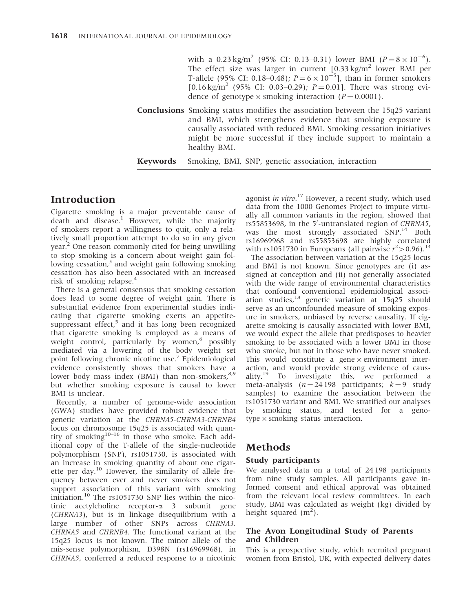with a 0.23 kg/m<sup>2</sup> (95% CI: 0.13–0.31) lower BMI ( $P = 8 \times 10^{-6}$ ). The effect size was larger in current  $[0.33 \text{ kg/m}^2$  lower BMI per T-allele (95% CI: 0.18–0.48);  $P = 6 \times 10^{-5}$ ], than in former smokers [0.16 kg/m<sup>2</sup> (95% CI: 0.03–0.29);  $P = 0.01$ ]. There was strong evidence of genotype  $\times$  smoking interaction (P = 0.0001).

Conclusions Smoking status modifies the association between the 15q25 variant and BMI, which strengthens evidence that smoking exposure is causally associated with reduced BMI. Smoking cessation initiatives might be more successful if they include support to maintain a healthy BMI.

Keywords Smoking, BMI, SNP, genetic association, interaction

# Introduction

Cigarette smoking is a major preventable cause of death and disease.<sup>1</sup> However, while the majority of smokers report a willingness to quit, only a relatively small proportion attempt to do so in any given year.<sup>2</sup> One reason commonly cited for being unwilling to stop smoking is a concern about weight gain following cessation, $3$  and weight gain following smoking cessation has also been associated with an increased risk of smoking relapse.<sup>4</sup>

There is a general consensus that smoking cessation does lead to some degree of weight gain. There is substantial evidence from experimental studies indicating that cigarette smoking exerts an appetitesuppressant effect, $5$  and it has long been recognized that cigarette smoking is employed as a means of weight control, particularly by women,<sup>6</sup> possibly mediated via a lowering of the body weight set point following chronic nicotine use.<sup>7</sup> Epidemiological evidence consistently shows that smokers have a lower body mass index (BMI) than non-smokers,<sup>8,9</sup> but whether smoking exposure is causal to lower BMI is unclear.

Recently, a number of genome-wide association (GWA) studies have provided robust evidence that genetic variation at the CHRNA5-CHRNA3-CHRNB4 locus on chromosome 15q25 is associated with quantity of smoking $10-16$  in those who smoke. Each additional copy of the T-allele of the single-nucleotide polymorphism (SNP), rs1051730, is associated with an increase in smoking quantity of about one cigarette per day.<sup>10</sup> However, the similarity of allele frequency between ever and never smokers does not support association of this variant with smoking initiation.<sup>10</sup> The rs1051730 SNP lies within the nicotinic acetylcholine receptor-a 3 subunit gene (CHRNA3), but is in linkage disequilibrium with a large number of other SNPs across CHRNA3, CHRNA5 and CHRNB4. The functional variant at the 15q25 locus is not known. The minor allele of the mis-sense polymorphism, D398N (rs16969968), in CHRNA5, conferred a reduced response to a nicotinic

agonist in vitro.<sup>17</sup> However, a recent study, which used data from the 1000 Genomes Project to impute virtually all common variants in the region, showed that rs55853698, in the 5'-untranslated region of CHRNA5, was the most strongly associated SNP.<sup>14</sup> Both rs16969968 and rs55853698 are highly correlated with rs1051730 in Europeans (all pairwise  $r^2 > 0.96$ ).<sup>14</sup>

The association between variation at the 15q25 locus and BMI is not known. Since genotypes are (i) assigned at conception and (ii) not generally associated with the wide range of environmental characteristics that confound conventional epidemiological association studies, $18$  genetic variation at 15q25 should serve as an unconfounded measure of smoking exposure in smokers, unbiased by reverse causality. If cigarette smoking is causally associated with lower BMI, we would expect the allele that predisposes to heavier smoking to be associated with a lower BMI in those who smoke, but not in those who have never smoked. This would constitute a gene  $\times$  environment interaction, and would provide strong evidence of causality.<sup>19</sup> To investigate this, we performed a meta-analysis  $(n = 24198 \text{ participants}; k = 9 \text{ study})$ samples) to examine the association between the rs1051730 variant and BMI. We stratified our analyses by smoking status, and tested for a geno $type \times$  smoking status interaction.

# Methods

## Study participants

We analysed data on a total of 24 198 participants from nine study samples. All participants gave informed consent and ethical approval was obtained from the relevant local review committees. In each study, BMI was calculated as weight (kg) divided by height squared  $(m^2)$ .

## The Avon Longitudinal Study of Parents and Children

This is a prospective study, which recruited pregnant women from Bristol, UK, with expected delivery dates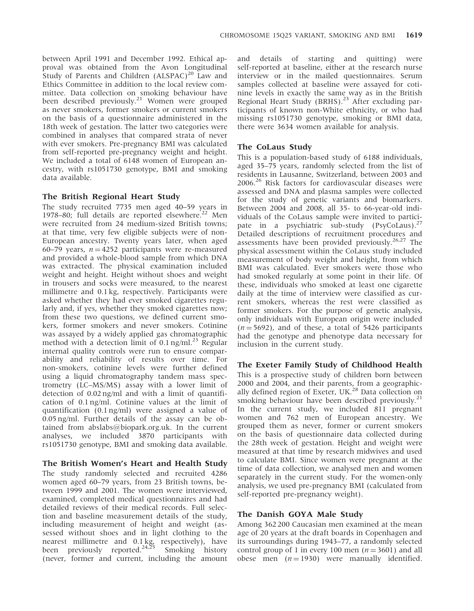between April 1991 and December 1992. Ethical approval was obtained from the Avon Longitudinal Study of Parents and Children  $(ALSPAC)^{20}$  Law and Ethics Committee in addition to the local review committee. Data collection on smoking behaviour have been described previously.<sup>21</sup> Women were grouped as never smokers, former smokers or current smokers on the basis of a questionnaire administered in the 18th week of gestation. The latter two categories were combined in analyses that compared strata of never with ever smokers. Pre-pregnancy BMI was calculated from self-reported pre-pregnancy weight and height. We included a total of 6148 women of European ancestry, with rs1051730 genotype, BMI and smoking data available.

#### The British Regional Heart Study

The study recruited 7735 men aged 40–59 years in 1978–80; full details are reported elsewhere.<sup>22</sup> Men were recruited from 24 medium-sized British towns; at that time, very few eligible subjects were of non-European ancestry. Twenty years later, when aged 60–79 years,  $n = 4252$  participants were re-measured and provided a whole-blood sample from which DNA was extracted. The physical examination included weight and height. Height without shoes and weight in trousers and socks were measured, to the nearest millimetre and 0.1 kg, respectively. Participants were asked whether they had ever smoked cigarettes regularly and, if yes, whether they smoked cigarettes now; from these two questions, we defined current smokers, former smokers and never smokers. Cotinine was assayed by a widely applied gas chromatographic method with a detection limit of  $0.1$  ng/ml.<sup>23</sup> Regular internal quality controls were run to ensure comparability and reliability of results over time. For non-smokers, cotinine levels were further defined using a liquid chromatography tandem mass spectrometry (LC–MS/MS) assay with a lower limit of detection of 0.02 ng/ml and with a limit of quantification of 0.1 ng/ml. Cotinine values at the limit of quantification (0.1 ng/ml) were assigned a value of 0.05 ng/ml. Further details of the assay can be obtained from abslabs@biopark.org.uk. In the current analyses, we included 3870 participants with rs1051730 genotype, BMI and smoking data available.

#### The British Women's Heart and Health Study

The study randomly selected and recruited 4286 women aged 60–79 years, from 23 British towns, between 1999 and 2001. The women were interviewed, examined, completed medical questionnaires and had detailed reviews of their medical records. Full selection and baseline measurement details of the study, including measurement of height and weight (assessed without shoes and in light clothing to the nearest millimetre and 0.1 kg, respectively), have been previously reported.<sup>24,25</sup> Smoking history (never, former and current, including the amount

and details of starting and quitting) were self-reported at baseline, either at the research nurse interview or in the mailed questionnaires. Serum samples collected at baseline were assayed for cotinine levels in exactly the same way as in the British Regional Heart Study (BRHS).<sup>23</sup> After excluding participants of known non-White ethnicity, or who had missing rs1051730 genotype, smoking or BMI data, there were 3634 women available for analysis.

#### The CoLaus Study

This is a population-based study of 6188 individuals, aged 35–75 years, randomly selected from the list of residents in Lausanne, Switzerland, between 2003 and 2006.26 Risk factors for cardiovascular diseases were assessed and DNA and plasma samples were collected for the study of genetic variants and biomarkers. Between 2004 and 2008, all 35- to 66-year-old individuals of the CoLaus sample were invited to participate in a psychiatric sub-study (PsyCoLaus).<sup>27</sup> Detailed descriptions of recruitment procedures and assessments have been provided previously.<sup>26,27</sup> The physical assessment within the CoLaus study included measurement of body weight and height, from which BMI was calculated. Ever smokers were those who had smoked regularly at some point in their life. Of these, individuals who smoked at least one cigarette daily at the time of interview were classified as current smokers, whereas the rest were classified as former smokers. For the purpose of genetic analysis, only individuals with European origin were included  $(n = 5692)$ , and of these, a total of 5426 participants had the genotype and phenotype data necessary for inclusion in the current study.

## The Exeter Family Study of Childhood Health

This is a prospective study of children born between 2000 and 2004, and their parents, from a geographically defined region of Exeter, UK.<sup>28</sup> Data collection on smoking behaviour have been described previously.<sup>21</sup> In the current study, we included 811 pregnant women and 762 men of European ancestry. We grouped them as never, former or current smokers on the basis of questionnaire data collected during the 28th week of gestation. Height and weight were measured at that time by research midwives and used to calculate BMI. Since women were pregnant at the time of data collection, we analysed men and women separately in the current study. For the women-only analysis, we used pre-pregnancy BMI (calculated from self-reported pre-pregnancy weight).

#### The Danish GOYA Male Study

Among 362 200 Caucasian men examined at the mean age of 20 years at the draft boards in Copenhagen and its surroundings during 1943–77, a randomly selected control group of 1 in every 100 men ( $n = 3601$ ) and all obese men  $(n = 1930)$  were manually identified.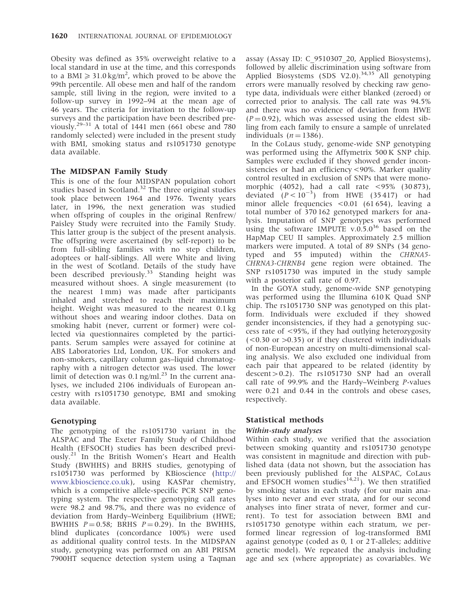Obesity was defined as 35% overweight relative to a local standard in use at the time, and this corresponds to a BMI  $\geq 31.0 \text{ kg/m}^2$ , which proved to be above the 99th percentile. All obese men and half of the random sample, still living in the region, were invited to a follow-up survey in 1992–94 at the mean age of 46 years. The criteria for invitation to the follow-up surveys and the participation have been described previously.<sup>29–31</sup> A total of 1441 men (661 obese and  $\overline{780}$ randomly selected) were included in the present study with BMI, smoking status and rs1051730 genotype data available.

# The MIDSPAN Family Study

This is one of the four MIDSPAN population cohort studies based in Scotland.<sup>32</sup> The three original studies took place between 1964 and 1976. Twenty years later, in 1996, the next generation was studied when offspring of couples in the original Renfrew/ Paisley Study were recruited into the Family Study. This latter group is the subject of the present analysis. The offspring were ascertained (by self-report) to be from full-sibling families with no step children, adoptees or half-siblings. All were White and living in the west of Scotland. Details of the study have been described previously.<sup>33</sup> Standing height was measured without shoes. A single measurement (to the nearest 1 mm) was made after participants inhaled and stretched to reach their maximum height. Weight was measured to the nearest 0.1 kg without shoes and wearing indoor clothes. Data on smoking habit (never, current or former) were collected via questionnaires completed by the participants. Serum samples were assayed for cotinine at ABS Laboratories Ltd, London, UK. For smokers and non-smokers, capillary column gas–liquid chromatography with a nitrogen detector was used. The lower limit of detection was  $0.1$  ng/ml.<sup>23</sup> In the current analyses, we included 2106 individuals of European ancestry with rs1051730 genotype, BMI and smoking data available.

# Genotyping

The genotyping of the rs1051730 variant in the ALSPAC and The Exeter Family Study of Childhood Health (EFSOCH) studies has been described previously.<sup>21</sup> In the British Women's Heart and Health Study (BWHHS) and BRHS studies, genotyping of rs1051730 was performed by KBioscience [\(http://](http://www.kbioscience.co.uk) [www.kbioscience.co.uk\)](http://www.kbioscience.co.uk), using KASPar chemistry, which is a competitive allele-specific PCR SNP genotyping system. The respective genotyping call rates were 98.2 and 98.7%, and there was no evidence of deviation from Hardy–Weinberg Equilibrium (HWE; BWHHS  $P = 0.58$ ; BRHS  $P = 0.29$ ). In the BWHHS, blind duplicates (concordance 100%) were used as additional quality control tests. In the MIDSPAN study, genotyping was performed on an ABI PRISM 7900HT sequence detection system using a Taqman

assay (Assay ID: C\_9510307\_20, Applied Biosystems), followed by allelic discrimination using software from Applied Biosystems (SDS V2.0).<sup>34,35</sup> All genotyping errors were manually resolved by checking raw genotype data, individuals were either blanked (zeroed) or corrected prior to analysis. The call rate was 94.5% and there was no evidence of deviation from HWE  $(P = 0.92)$ , which was assessed using the eldest sibling from each family to ensure a sample of unrelated individuals  $(n = 1386)$ .

In the CoLaus study, genome-wide SNP genotyping was performed using the Affymetrix 500 K SNP chip. Samples were excluded if they showed gender inconsistencies or had an efficiency <90%. Marker quality control resulted in exclusion of SNPs that were monomorphic (4052), had a call rate <95% (30 873), deviated  $(P < 10^{-3})$  from HWE (35417) or had minor allele frequencies <0.01 (61 654), leaving a total number of 370 162 genotyped markers for analysis. Imputation of SNP genotypes was performed using the software IMPUTE v.0.5.0<sup>36</sup> based on the HapMap CEU II samples. Approximately 2.5 million markers were imputed. A total of 89 SNPs (34 genotyped and 55 imputed) within the CHRNA5- CHRNA3-CHRNB4 gene region were obtained. The SNP rs1051730 was imputed in the study sample with a posterior call rate of 0.97.

In the GOYA study, genome-wide SNP genotyping was performed using the Illumina 610 K Quad SNP chip. The rs1051730 SNP was genotyped on this platform. Individuals were excluded if they showed gender inconsistencies, if they had a genotyping success rate of <95%, if they had outlying heterozygosity  $(<0.30$  or  $>0.35$ ) or if they clustered with individuals of non-European ancestry on multi-dimensional scaling analysis. We also excluded one individual from each pair that appeared to be related (identity by  $descent > 0.2$ ). The rs1051730 SNP had an overall call rate of 99.9% and the Hardy–Weinberg P-values were 0.21 and 0.44 in the controls and obese cases, respectively.

# Statistical methods

# Within-study analyses

Within each study, we verified that the association between smoking quantity and rs1051730 genotype was consistent in magnitude and direction with published data (data not shown, but the association has been previously published for the ALSPAC, CoLaus and EFSOCH women studies<sup>14,21</sup>). We then stratified by smoking status in each study (for our main analyses into never and ever strata, and for our second analyses into finer strata of never, former and current). To test for association between BMI and rs1051730 genotype within each stratum, we performed linear regression of log-transformed BMI against genotype (coded as 0, 1 or 2 T-alleles; additive genetic model). We repeated the analysis including age and sex (where appropriate) as covariables. We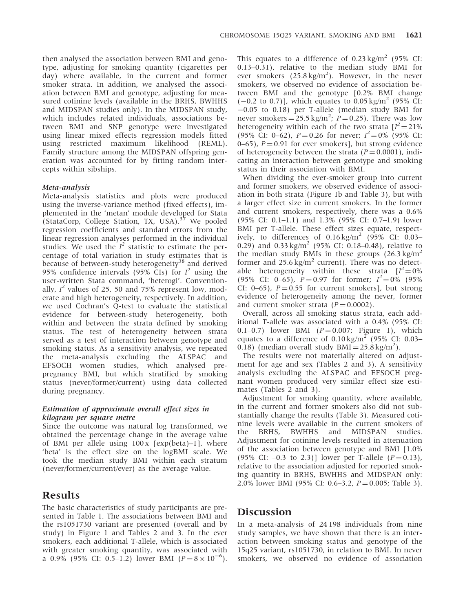then analysed the association between BMI and genotype, adjusting for smoking quantity (cigarettes per day) where available, in the current and former smoker strata. In addition, we analysed the association between BMI and genotype, adjusting for measured cotinine levels (available in the BRHS, BWHHS and MIDSPAN studies only). In the MIDSPAN study, which includes related individuals, associations between BMI and SNP genotype were investigated using linear mixed effects regression models fitted using restricted maximum likelihood (REML). Family structure among the MIDSPAN offspring generation was accounted for by fitting random intercepts within sibships.

#### Meta-analysis

Meta-analysis statistics and plots were produced using the inverse-variance method (fixed effects), implemented in the 'metan' module developed for Stata (StataCorp, College Station, TX, USA).<sup>37</sup> We pooled regression coefficients and standard errors from the linear regression analyses performed in the individual studies. We used the  $I^2$  statistic to estimate the percentage of total variation in study estimates that is because of between-study heterogeneity<sup>38</sup> and derived 95% confidence intervals (95% CIs) for  $I^2$  using the user-written Stata command, 'heterogi'. Conventionally,  $I^2$  values of 25, 50 and 75% represent low, moderate and high heterogeneity, respectively. In addition, we used Cochran's Q-test to evaluate the statistical evidence for between-study heterogeneity, both within and between the strata defined by smoking status. The test of heterogeneity between strata served as a test of interaction between genotype and smoking status. As a sensitivity analysis, we repeated the meta-analysis excluding the ALSPAC and EFSOCH women studies, which analysed prepregnancy BMI, but which stratified by smoking status (never/former/current) using data collected during pregnancy.

#### Estimation of approximate overall effect sizes in kilogram per square metre

Since the outcome was natural log transformed, we obtained the percentage change in the average value of BMI per allele using  $100 \times \text{[exp(beta)-1]}$ , where 'beta' is the effect size on the logBMI scale. We took the median study BMI within each stratum (never/former/current/ever) as the average value.

# Results

The basic characteristics of study participants are presented in Table 1. The associations between BMI and the rs1051730 variant are presented (overall and by study) in Figure 1 and Tables 2 and 3. In the ever smokers, each additional T-allele, which is associated with greater smoking quantity, was associated with a 0.9% (95% CI: 0.5–1.2) lower BMI ( $P = 8 \times 10^{-6}$ ).

This equates to a difference of  $0.23 \text{ kg/m}^2$  (95% CI: 0.13–0.31), relative to the median study BMI for ever smokers  $(25.8 \text{ kg/m}^2)$ . However, in the never smokers, we observed no evidence of association between BMI and the genotype [0.2% BMI change  $(-0.2 \text{ to } 0.7)$ ], which equates to 0.05 kg/m<sup>2</sup> (95% CI:  $-0.05$  to 0.18) per T-allele (median study BMI for never smokers  $= 25.5 \text{ kg/m}^2$ ;  $P = 0.25$ ). There was low heterogeneity within each of the two strata  $[I^2 = 21\%$ (95% CI: 0–62),  $P = 0.26$  for never;  $I^2 = 0\%$  (95% CI:  $(0-65)$ ,  $P = 0.91$  for ever smokers], but strong evidence of heterogeneity between the strata ( $P = 0.0001$ ), indicating an interaction between genotype and smoking status in their association with BMI.

When dividing the ever-smoker group into current and former smokers, we observed evidence of association in both strata (Figure 1b and Table 3), but with a larger effect size in current smokers. In the former and current smokers, respectively, there was a 0.6% (95% CI: 0.1–1.1) and 1.3% (95% CI: 0.7–1.9) lower BMI per T-allele. These effect sizes equate, respectively, to differences of  $0.16 \text{ kg/m}^2$  (95% CI: 0.03– 0.29) and  $0.33 \text{ kg/m}^2$  (95% CI: 0.18–0.48), relative to the median study BMIs in these groups  $(26.3 \text{ kg/m}^2)$ former and  $25.6 \text{ kg/m}^2$  current). There was no detectable heterogeneity within these strata  $[I^2=0\%]$ (95% CI: 0–65),  $\vec{P} = 0.97$  for former;  $I^2 = 0\%$  (95%) CI: 0–65),  $P = 0.55$  for current smokers], but strong evidence of heterogeneity among the never, former and current smoker strata  $(P = 0.0002)$ .

Overall, across all smoking status strata, each additional T-allele was associated with a 0.4% (95% CI: 0.1–0.7) lower BMI  $(P = 0.007$ ; Figure 1), which equates to a difference of  $0.10 \text{ kg/m}^2$  (95% CI: 0.03– 0.18) (median overall study  $BMI = 25.8 \text{ kg/m}^2$ ).

The results were not materially altered on adjustment for age and sex (Tables 2 and 3). A sensitivity analysis excluding the ALSPAC and EFSOCH pregnant women produced very similar effect size estimates (Tables 2 and 3).

Adjustment for smoking quantity, where available, in the current and former smokers also did not substantially change the results (Table 3). Measured cotinine levels were available in the current smokers of the BRHS, BWHHS and MIDSPAN studies. Adjustment for cotinine levels resulted in attenuation of the association between genotype and BMI [1.0% (95% CI:  $-0.3$  to 2.3)] lower per T-allele ( $P = 0.13$ ), relative to the association adjusted for reported smoking quantity in BRHS, BWHHS and MIDSPAN only: 2.0% lower BMI (95% CI: 0.6–3.2,  $P = 0.005$ ; Table 3).

## Discussion

In a meta-analysis of 24 198 individuals from nine study samples, we have shown that there is an interaction between smoking status and genotype of the 15q25 variant, rs1051730, in relation to BMI. In never smokers, we observed no evidence of association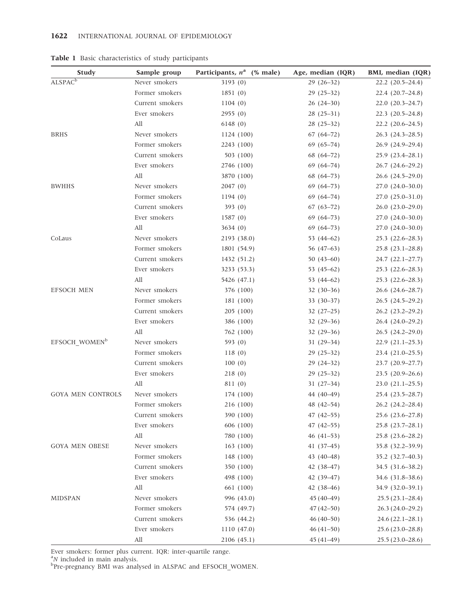| <b>Study</b>              | Sample group    | Participants, $n^a$ (% male) | Age, median (IQR) | BMI, median (IQR)      |
|---------------------------|-----------------|------------------------------|-------------------|------------------------|
| ALSPACE                   | Never smokers   | 3193 (0)                     | $29(26-32)$       | $22.2$ $(20.5-24.4)$   |
|                           | Former smokers  | 1851(0)                      | $29(25-32)$       | $22.4(20.7-24.8)$      |
|                           | Current smokers | 1104(0)                      | $26(24-30)$       | $22.0(20.3-24.7)$      |
|                           | Ever smokers    | 2955(0)                      | $28(25-31)$       | $22.3$ $(20.5-24.8)$   |
|                           | All             | 6148(0)                      | $28(25-32)$       | $22.2$ $(20.6-24.5)$   |
| <b>BRHS</b>               | Never smokers   | 1124 (100)                   | $67(64-72)$       | $26.3$ $(24.3-28.5)$   |
|                           | Former smokers  | 2243 (100)                   | $69(65-74)$       | $26.9(24.9-29.4)$      |
|                           | Current smokers | 503 (100)                    | $68(64-72)$       | $25.9(23.4-28.1)$      |
|                           | Ever smokers    | 2746 (100)                   | $69(64 - 74)$     | $26.7(24.6-29.2)$      |
|                           | All             | 3870 (100)                   | $68(64-73)$       | $26.6$ $(24.5-29.0)$   |
| <b>BWHHS</b>              | Never smokers   | 2047(0)                      | $69(64-73)$       | 27.0 (24.0-30.0)       |
|                           | Former smokers  | 1194(0)                      | $69(64-74)$       | $27.0(25.0-31.0)$      |
|                           | Current smokers | 393 $(0)$                    | $67(63-72)$       | $26.0(23.0-29.0)$      |
|                           | Ever smokers    | 1587(0)                      | $69(64-73)$       | $27.0(24.0-30.0)$      |
|                           | All             | 3634(0)                      | $69(64-73)$       | $27.0(24.0-30.0)$      |
| CoLaus                    | Never smokers   | 2193 (38.0)                  | 53 $(44-62)$      | $25.3(22.6-28.3)$      |
|                           | Former smokers  | 1801 (54.9)                  | 56 (47-63)        | $25.8$ $(23.1 - 28.8)$ |
|                           | Current smokers | 1432 (51.2)                  | $50(43-60)$       | $24.7(22.1-27.7)$      |
|                           | Ever smokers    | 3233 (53.3)                  | 53 $(45-62)$      | $25.3$ $(22.6-28.3)$   |
|                           | All             | 5426 (47.1)                  | 53 $(44-62)$      | $25.3$ $(22.6-28.3)$   |
| <b>EFSOCH MEN</b>         | Never smokers   | 376 (100)                    | $32(30-36)$       | $26.6$ $(24.6 - 28.7)$ |
|                           | Former smokers  | 181 (100)                    | $33(30-37)$       | $26.5(24.5-29.2)$      |
|                           | Current smokers | 205(100)                     | $32(27-25)$       | $26.2$ $(23.2-29.2)$   |
|                           | Ever smokers    | 386 (100)                    | $32(29-36)$       | $26.4(24.0-29.2)$      |
|                           | All             | 762 (100)                    | $32(29-36)$       | $26.5(24.2-29.0)$      |
| EFSOCH WOMEN <sup>b</sup> | Never smokers   | 593 (0)                      | $31(29-34)$       | $22.9(21.1-25.3)$      |
|                           | Former smokers  | 118(0)                       | $29(25-32)$       | $23.4(21.0-25.5)$      |
|                           | Current smokers | 100(0)                       | $29(24-32)$       | 23.7 (20.9-27.7)       |
|                           | Ever smokers    | 218(0)                       | $29(25-32)$       | $23.5(20.9-26.6)$      |
|                           | All             | 811 (0)                      | $31(27-34)$       | $23.0(21.1-25.5)$      |
| <b>GOYA MEN CONTROLS</b>  | Never smokers   | 174 (100)                    | 44 (40-49)        | 25.4 (23.5-28.7)       |
|                           | Former smokers  | 216 (100)                    | 48 (42-54)        | $26.2$ $(24.2 - 28.4)$ |
|                           | Current smokers | 390 (100)                    | $47(42 - 55)$     | 25.6 (23.6-27.8)       |
|                           | Ever smokers    | 606 (100)                    | $47(42-55)$       | $25.8$ $(23.7-28.1)$   |
|                           | All             | 780 (100)                    | $46(41-53)$       | $25.8$ $(23.6 - 28.2)$ |
| <b>GOYA MEN OBESE</b>     | Never smokers   | 163 (100)                    | $41(37-45)$       | 35.8 (32.2-39.9)       |
|                           | Former smokers  | 148 (100)                    | 43 $(40-48)$      | 35.2 (32.7-40.3)       |
|                           | Current smokers | 350 (100)                    | $42(38-47)$       | 34.5 (31.6–38.2)       |
|                           | Ever smokers    | 498 (100)                    | 42 (39-47)        | 34.6 (31.8–38.6)       |
|                           | All             | 661 (100)                    | $42(38-46)$       | 34.9 (32.0–39.1)       |
| <b>MIDSPAN</b>            | Never smokers   | 996 (43.0)                   | $45(40-49)$       | $25.5(23.1 - 28.4)$    |
|                           | Former smokers  | 574 (49.7)                   | $47(42 - 50)$     | $26.3(24.0-29.2)$      |
|                           | Current smokers | 536 (44.2)                   | $46(40-50)$       | $24.6(22.1-28.1)$      |
|                           | Ever smokers    | 1110 (47.0)                  | $46(41-50)$       | $25.6(23.0-28.8)$      |
|                           | All             | 2106(45.1)                   | $45(41-49)$       | $25.5(23.0-28.6)$      |
|                           |                 |                              |                   |                        |

Table 1 Basic characteristics of study participants

Ever smokers: former plus current. IQR: inter-quartile range.<br><sup>a</sup>N included in main analysis.<br><sup>b</sup>Pre-pregnancy BMI was analysed in ALSPAC and EFSOCH\_WOMEN.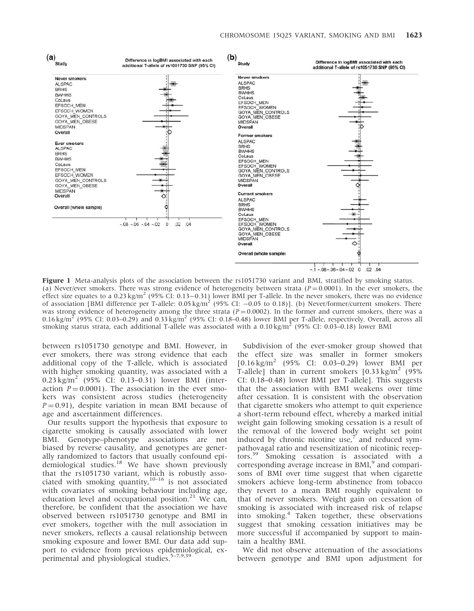

Figure 1 Meta-analysis plots of the association between the rs1051730 variant and BMI, stratified by smoking status. (a) Never/ever smokers. There was strong evidence of heterogeneity between strata ( $P=0.0001$ ). In the ever smokers, the effect size equates to a 0.23 kg/m<sup>2</sup> (95% CI: 0.13–0.31) lower BMI per T-allele. In the never smokers, there was no evidence of association [BMI difference per T-allele:  $0.05 \text{ kg/m}^2$  (95% CI:  $-0.05$  to 0.18)]. (b) Never/former/current smokers. There was strong evidence of heterogeneity among the three strata ( $P = 0.0002$ ). In the former and current smokers, there was a 0.16 kg/m<sup>2</sup> (95% CI: 0.03–0.29) and 0.33 kg/m<sup>2</sup> (95% CI: 0.18–0.48) lower BMI per T-allele, respectively. Overall, across all smoking status strata, each additional T-allele was associated with a  $0.10 \text{ kg/m}^2$  (95% CI: 0.03–0.18) lower BMI

between rs1051730 genotype and BMI. However, in ever smokers, there was strong evidence that each additional copy of the T-allele, which is associated with higher smoking quantity, was associated with a  $0.23 \text{ kg/m}^2$  (95% CI: 0.13–0.31) lower BMI (interaction  $P = 0.0001$ ). The association in the ever smokers was consistent across studies (heterogeneity  $P = 0.91$ ), despite variation in mean BMI because of age and ascertainment differences.

Our results support the hypothesis that exposure to cigarette smoking is causally associated with lower BMI. Genotype–phenotype associations are not biased by reverse causality, and genotypes are generally randomized to factors that usually confound epidemiological studies.<sup>18</sup> We have shown previously that the rs1051730 variant, which is robustly associated with smoking quantity, $10-16$  is not associated with covariates of smoking behaviour including age, education level and occupational position. $21$  We can, therefore, be confident that the association we have observed between rs1051730 genotype and BMI in ever smokers, together with the null association in never smokers, reflects a causal relationship between smoking exposure and lower BMI. Our data add support to evidence from previous epidemiological, experimental and physiological studies.<sup>5-7,9,39</sup>

Subdivision of the ever-smoker group showed that the effect size was smaller in former smokers  $[0.16 \text{ kg/m}^2 \quad (95\% \quad \text{CI:} \quad 0.03-0.29) \quad \text{lower} \quad \text{BMI} \quad \text{per}$ T-allele] than in current smokers  $[0.33 \text{ kg/m}^2]$  (95%) CI: 0.18–0.48) lower BMI per T-allele]. This suggests that the association with BMI weakens over time after cessation. It is consistent with the observation that cigarette smokers who attempt to quit experience a short-term rebound effect, whereby a marked initial weight gain following smoking cessation is a result of the removal of the lowered body weight set point induced by chronic nicotine use, $<sup>7</sup>$  and reduced sym-</sup> pathovagal ratio and resensitization of nicotinic receptors.<sup>39</sup> Smoking cessation is associated with a corresponding average increase in  $BML$ <sup>9</sup> and comparisons of BMI over time suggest that when cigarette smokers achieve long-term abstinence from tobacco they revert to a mean BMI roughly equivalent to that of never smokers. Weight gain on cessation of smoking is associated with increased risk of relapse into smoking.<sup>4</sup> Taken together, these observations suggest that smoking cessation initiatives may be more successful if accompanied by support to maintain a healthy BMI.

We did not observe attenuation of the associations between genotype and BMI upon adjustment for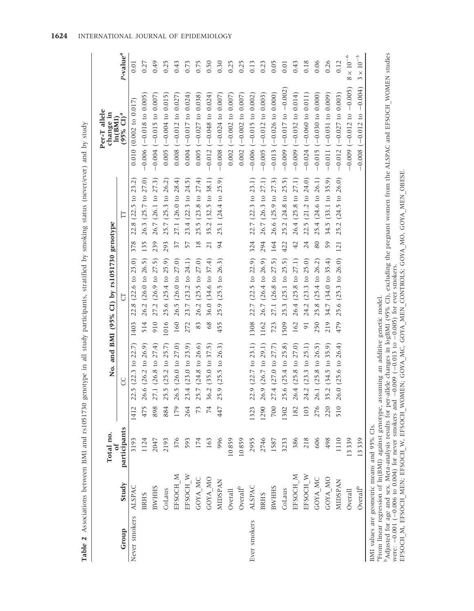|                      |                                   | Total no.                                   |      |                                                                                                      |                | No. and BMI (95% CI) by rs1051730 genotype |                 |                               | Per-T allele<br>change in<br>ln(BMI) |                      |
|----------------------|-----------------------------------|---------------------------------------------|------|------------------------------------------------------------------------------------------------------|----------------|--------------------------------------------|-----------------|-------------------------------|--------------------------------------|----------------------|
| Group                | Study                             | participants                                |      | S                                                                                                    |                | 5                                          |                 | E                             | $(95\% \text{ CI})^a$                | P-value <sup>a</sup> |
| Never smokers ALSPAC |                                   | 3193                                        | 1412 | (2.5 (22.3 to 22.7))                                                                                 | 1403           | 22.8 (22.6 to 23.0)                        | 378             | 22.8 (22.5 to 23.2)           | $0.010$ (0.002 to 0.017)             | 0.01                 |
|                      | <b>BRHS</b>                       | 1124                                        | 475  | $26.6$ ( $26.2$ to $26.9$ )                                                                          | 514            | 26.2 (26.0 to 26.5)                        | 135             | 26.3 (25.7 to 27.0)           | $-0.006$ $(-0.018$ to 0.005          | 0.27                 |
|                      | <b>BWHHS</b>                      | 2047                                        | 898  | (7.1 (26.8 to 27.4))                                                                                 | 910            | 27.2 (26.9 to 27.5)                        | 239             | 26.7 (26.1 to 27.3)           | $-0.004 (-0.015 t0 0.007$            | 0.49                 |
|                      | CoLaus                            | 2193                                        | 884  | $5.5(25.2 \text{ to } 25.7)$                                                                         | 1016           | 25.6 (25.4 to 25.9)                        | 293             | 25.7 (25.3 to 26.2)           | $0.005$ ( $-0.004$ to $0.015$ )      | 0.25                 |
|                      | EFSOCH M                          | 376                                         | 179  | $26.5$ (26.0 to 27.0)                                                                                | 160            | 26.5 (26.0 to 27.0)                        | 37              | 27.1 (26.0 to 28.4)           | $0.008$ (-0.012 to 0.027)            | 0.43                 |
|                      | EFSOCH W                          | 593                                         | 264  | $23.4$ ( $23.0$ to $23.9$ )                                                                          | 272            | 23.7 (23.2 to 24.1)                        | 57              | 23.4 (22.3 to 24.5)           | $0.004 (-0.017 to 0.024)$            | 0.73                 |
|                      | GOYA MC                           | 174                                         |      | $5.7(24.8 \text{ to } 26.6)$                                                                         | 83             | 26.2 (25.5 to 27.0)                        | 18              | $25.5(23.8 \text{ to } 27.4)$ | $0.005$ (-0.027 to 0.038)            | 0.75                 |
|                      | GOYA MO                           | 163                                         | 74   | $6.2$ (35.0 to 37.5)                                                                                 | 68             | 36.0 (34.6 to 37.4)                        | $\overline{21}$ | 35.2 (32.5 to 38.1)           | $-0.012$ ( $-0.048$ to 0.024)        | 0.50                 |
|                      | <b>MIDSPAN</b>                    | 996                                         | 447  | 25.9 (25.5 to 26.3)                                                                                  | 455            | 25.9 (25.5 to 26.3)                        | 94              | 25.1 (24.4 to 25.9)           | $-0.008$ ( $-0.024$ to 0.007)        | 0.30                 |
|                      | Overall                           | 10859                                       |      |                                                                                                      |                |                                            |                 |                               | $0.002$ (-0.002 to 0.007)            | 0.25                 |
|                      | $\mbox{Overall}^{\mbox{\tiny b}}$ | 10859                                       |      |                                                                                                      |                |                                            |                 |                               | $0.002$ (-0.002 to 0.007)            | 0.25                 |
| Ever smokers         | ALSPAC                            | 2955                                        | 1323 | 22.9 (22.7 to 23.1)                                                                                  | 1308           | 22.7 (22.5 to 22.9)                        | 324             | 22.7 (22.3 to 23.1)           | $-0.006$ ( $-0.015$ to 0.002)        | 0.13                 |
|                      | <b>BRHS</b>                       | 2746                                        | 1290 | 26.9 (26.7 to 29.1)                                                                                  | 1162           | 26.7 (26.4 to 26.9)                        | 294             | 26.7 (26.3 to 27.1)           | $-0.005$ ( $-0.012$ to 0.003)        | 0.23                 |
|                      | <b>BWHHS</b>                      | 1587                                        | 700  | 27.4 (27.0 to 27.7)                                                                                  | 723            | 27.1 (26.8 to 27.5)                        | 164             | 26.6 (25.9 to 27.3)           | $-0.013$ ( $-0.026$ to 0.000)        | 0.05                 |
|                      | CoLaus                            | 3233                                        | 1302 | 5.6 (25.4 to 25.8)                                                                                   | 1509           | 25.3 (25.1 to 25.5)                        | 422             | 25.2 (24.8 to 25.5)           | $-0.009$ $(-0.017$ to $-0.002$       | 0.01                 |
|                      | EFSOCH M                          | 386                                         | 182  | 26.4 (25.8 to 27.0)                                                                                  | 162            | 26.4 (25.8 to 27.1)                        | $\overline{42}$ | 26.4 (25.8 to 27.1)           | $-0.009$ ( $-0.032$ to 0.014)        | 0.43                 |
|                      | EFSOCH W                          | 218                                         | 103  | $24.2$ (23.3 to 25.1)                                                                                | $\overline{9}$ | 24.2 (23.3 to 25.0)                        | 24              | 22.5 (21.2 to 24.0)           | $-0.024$ ( $-0.060$ to 0.011)        | 0.18                 |
|                      | GOYA MC                           | 606                                         | 276  | (6.1 (25.8 to 26.5))                                                                                 | 250            | 25.8 (25.4 to 26.2)                        | 80              | 25.4 (24.6 to 26.1)           | $-0.015(-0.030 to 0.000)$            | 0.06                 |
|                      | GOYA MO                           | 498                                         | 220  | 5.2 (34.5 to 35.9)                                                                                   | 219            | 34.7 (34.0 to 35.4)                        | 59              | 34.5 (33.1 to 35.9)           | $-0.011(-0.031 to 0.009)$            | 0.26                 |
|                      | <b>MIDSPAN</b>                    | 1110                                        | 510  | $26.0$ (25.6 to $26.4$ )                                                                             | 479            | 25.6 (25.3 to 26.0)                        | 121             | 25.2 (24.5 to 26.0)           | $-0.012$ ( $-0.027$ to 0.003)        | 0.12                 |
|                      | Overall                           | 13339                                       |      |                                                                                                      |                |                                            |                 |                               | $-0.009$ ( $-0.012$ to $-0.005$ )    | $8\times10^{-6}$     |
|                      | Overall <sup>b</sup>              | 13339                                       |      |                                                                                                      |                |                                            |                 |                               | $-0.008$ ( $-0.012$ to $-0.004$ )    | $3\times10^{-5}$     |
|                      |                                   | BMI values are geometric means and 95% CIs. |      | <sup>a</sup> From linear regression of ln(BMI) against genotype, assuming an additive genetic model. |                |                                            |                 |                               |                                      |                      |

 $^{\rm b}$ Adjusted for age and sex. Meta-analysis results for per-allele changes in logBMI (95% CI), excluding the pregnant women from the ALSPAC and EFSOCH\_WOMEN studies were:  $-0.001$  ( $-0.006$  to  $0.004$ ) for never smoker bAdjusted for age and sex. Meta-analysis results for per-allele changes in logBMI (95% CI), excluding the pregnant women from the ALSPAC and EFSOCH\_WOMEN studies EFSOCH\_M, EFSOCH\_MEN; EFSOCH\_MOMEN; EFSOCH\_WOMEN; GOYA\_MC, GOYA\_MC, GOYA\_MEN; EFSOCH\_MEN; GOYA\_MO, GOYA\_MO, GOYA\_MO. were:  $-0.001$  ( $-0.006$  to  $0.004$ ) for never smokers and  $-0.009$  ( $-0.013$  to  $-0.005$ ) for ever smokers.

Table 2 Associations between BMI and rs1051730 genotype in all study participants, stratified by smoking status (never/ever) and by study

Table 2 Associations between BMI and rs1051730 genotype in all study participants, stratified by smoking status (never/ever) and by study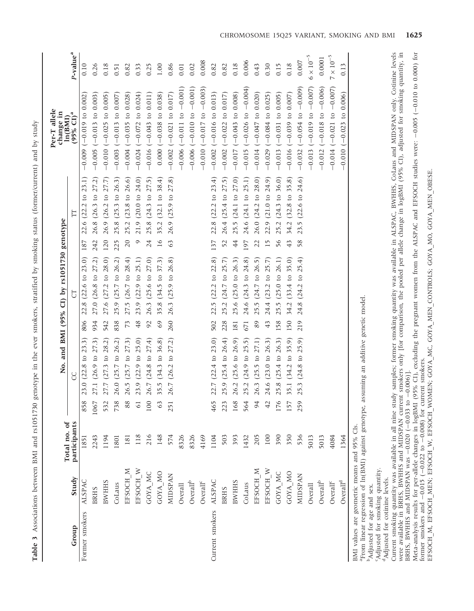Table 3 Associations between BMI and rs1051730 genotype in the ever smokers, stratified by smoking status (former/current) and by study Table 3 Associations between BMI and rs1051730 genotype in the ever smokers, stratified by smoking status (former/current) and by study

|                                                                                       |                                           |                              |                |                                                                                                      |               | No. and BMI (95% CI) by rs1051730 genotype |                                                 | Per-T allele<br>change in                 |                      |
|---------------------------------------------------------------------------------------|-------------------------------------------|------------------------------|----------------|------------------------------------------------------------------------------------------------------|---------------|--------------------------------------------|-------------------------------------------------|-------------------------------------------|----------------------|
| Group                                                                                 | Study                                     | Total no. of<br>participants |                | S                                                                                                    |               | 5                                          | E                                               | $(95\% \text{ CI})^a$<br>ln(BMI)          | P-value <sup>a</sup> |
| Former smokers                                                                        | ALSPAC                                    | 1851                         | 858            | 23.0 (22.8 to 23.3)                                                                                  | 806           | 22.8 (22.6 to 23.0)                        | 22.6 (22.2 to 23.1)<br>187                      | $-0.009$ ( $-0.019$ to 0.002              | 0.10                 |
|                                                                                       | <b>BRHS</b>                               | 2243                         | 1067           | 27.1 (26.9 to 27.3)                                                                                  | 934           | 27.0 (26.8 to 27.2)                        | 26.8 (26.3 to 27.2)<br>242                      | $-0.005$ ( $-0.013$ to 0.003)             | 0.26                 |
|                                                                                       | <b>BWHHS</b>                              | 1194                         | 532            | 27.7 (27.3 to 28.2)                                                                                  | 542           | 27.6 (27.2 to 28.0)                        | 26.9 (26.2 to 27.7)<br>120                      | $-0.010(-0.025$ to 0.005                  | 0.18                 |
|                                                                                       | CoLaus                                    | 1801                         | 738            | 26.0 (25.7 to 26.2)                                                                                  | 838           | 25.9 (25.7 to 26.2)                        | $(25.3 \text{ to } 26.3)$<br>25.8<br>225        | $-0.003$ ( $-0.013$ to 0.007)             | 0.51                 |
|                                                                                       | EFSOCH M                                  | 181                          | 88             | 26.5 (25.7 to 27.3)                                                                                  | 73            | 27.5 (26.7 to 28.4)                        | $(23.8 \text{ to } 26.6)$<br>25.2<br>$20$       | $-0.004$ ( $-0.035$ to 0.028)             | 0.82                 |
|                                                                                       | EFSOCH W                                  | 118                          | $\overline{6}$ | 23.9 (22.9 to 25.0)                                                                                  | 48            | 23.9 (22.9 to 25.1)                        | $(20.0 \text{ to } 24.0)$<br>21.9<br>$\circ$    | $-0.024$ ( $-0.072$ to 0.024)             | 0.33                 |
|                                                                                       | GOYA MC                                   | 216                          | 100            | 26.7 (24.8 to 27.4)                                                                                  | $\mathcal{S}$ | 26.3 (25.6 to 27.0)                        | $(24.3 \text{ to } 27.5)$<br>25.8<br>24         | $-0.016$ ( $-0.043$ to 0.011)             | 0.25                 |
|                                                                                       | GOYA MO                                   | 148                          | 63             | 35.5 (34.3 to 36.8)                                                                                  | 69            | 35.8 (34.5 to 37.3)                        | 35.2 (32.1 to 38.4)<br>16                       | $0.000 (-0.038 \text{ to } 0.038)$        | 1.00                 |
|                                                                                       | <b>MIDSPAN</b>                            | 574                          | 251            | 26.7 (26.2 to 27.2)                                                                                  | 260           | 26.3 (25.9 to 26.8)                        | 26.9 (25.9 to 27.8)<br>63                       | $-0.002$ ( $-0.021$ to 0.017)             | 0.86                 |
|                                                                                       | Overall                                   | 8326                         |                |                                                                                                      |               |                                            |                                                 | $-0.006$ $(-0.011$ to $-0.001)$           | 0.01                 |
|                                                                                       | $\mbox{Overall}^{\mbox{\tiny{\rm {b}}} }$ | 8326                         |                |                                                                                                      |               |                                            |                                                 | $-0.006$ $(-0.010$ to $-0.001)$           | 0.02                 |
|                                                                                       | Overall <sup>c</sup>                      | 4169                         |                |                                                                                                      |               |                                            |                                                 | $-0.010 (-0.017 \text{ to } -0.003)$      | 0.008                |
| Current smokers                                                                       | <b>ALSPAC</b>                             | 1104                         | 465            | 22.7 (22.4 to 23.0)                                                                                  | 502           | 22.5 (22.2 to 22.8)                        | 22.8 (22.2 to 23.4)<br>137                      | $-0.002$ ( $-0.016$ to 0.013)             | 0.82                 |
|                                                                                       | <b>BRHS</b>                               | 503                          | 223            | 25.9 (25.4 to 26.4)                                                                                  | 228           | 25.2 (24.7 to 25.7)                        | 26.4 (25.4 to 27.5)<br>52                       | $-0.002$ ( $-0.022$ to 0.017)             | 0.82                 |
|                                                                                       | <b>BWHHS</b>                              | 393                          | 168            | 26.2 (25.6 to 26.9)                                                                                  | 181           | 25.6 (25.0 to 26.3)                        | 25.5 (24.1 to 27.0)<br>4                        | $-0.017(-0.043 to 0.008)$                 | 0.18                 |
|                                                                                       | CoLaus                                    | 1432                         | 564            | 25.2 (24.9 to 25.5)                                                                                  | 671           | 24.6 (24.3 to 24.8)                        | 24.6 (24.1 to 25.1)<br>197                      | $-0.015$ ( $-0.026$ to $-0.004$ )         | 0.006                |
|                                                                                       | EFSOCH M                                  | 205                          | 94             | 26.3 (25.5 to 27.1)                                                                                  | 89            | 25.5 (24.7 to 26.5)                        | 26.0 (24.2 to 28.0)<br>22                       | $-0.014$ ( $-0.047$ to 0.020)             | 0.43                 |
|                                                                                       | EFSOCH W                                  | $100\,$                      | 42             | 24.6 (23.0 to 26.3)                                                                                  | 43            | 24.4 (23.2 to 25.7)                        | $(21.0 \text{ to } 24.9)$<br>22.9<br>15         | $-0.029$ ( $-0.084$ to 0.025)             | 0.30                 |
|                                                                                       | GOYA MC                                   | 390                          | 176            | 25.8 (25.4 to 26.3)                                                                                  | 158           | 25.5 (25.0 to 26.1)                        | $(24.3 \text{ to } 36.0)$<br>25.2<br>56         | $-0.013$ ( $-0.031$ to 0.005)             | 0.15                 |
|                                                                                       | GOYA MO                                   | 350                          | 157            | 35.1 (34.2 to 35.9)                                                                                  | 150           | 34.2 (33.4 to 35.0)                        | $(32.8 \text{ to } 35.8)$<br>34.2<br>$\ddot{4}$ | $-0.016$ ( $-0.039$ to 0.007)             | 0.18                 |
|                                                                                       | <b>MIDSPAN</b>                            | 536                          | 259            | 25.3 (24.8 to 25.9)                                                                                  | 219           | 24.8 (24.2 to 25.4)                        | $(22.6 \text{ to } 24.6)$<br>23.5<br>58         | $(-0.054 \text{ to } -0.009)$<br>$-0.032$ | 0.007                |
|                                                                                       | Overall                                   | 5013                         |                |                                                                                                      |               |                                            |                                                 | $-0.013$ ( $-0.019$ to $-0.007$ )         | $6 \times 10^{-5}$   |
|                                                                                       | $\mbox{Overall}^{\mbox{\tiny{\rm {b}}} }$ | 5013                         |                |                                                                                                      |               |                                            |                                                 | $-0.012$ ( $-0.018$ to $-0.006$ )         | 0.0001               |
|                                                                                       | Overall <sup>c</sup>                      | 4084                         |                |                                                                                                      |               |                                            |                                                 | $-0.014 (-0.021 to -0.007)$               | $7\times10^{-5}$     |
|                                                                                       | $\mbox{Overall}^{\mbox{\scriptsize d}}$   | 1364                         |                |                                                                                                      |               |                                            |                                                 | $-0.010$ $(-0.023$ to $0.006)$            | 0.13                 |
| BMI values are geometric means and 95% CIs.<br><sup>b</sup> Adjusted for age and sex. |                                           |                              |                | <sup>a</sup> From linear regression of ln(BMI) against genotype, assuming an additive genetic model. |               |                                            |                                                 |                                           |                      |

bAdjusted for age and sex.

Adjusted for smoking quantity. cAdjusted for smoking quantity. <sup>d</sup>Adjusted for cotinine levels. <sup>d</sup>Adjusted for cotinine levels.

Current smoking quantity was available in all nine study samples; former smoking quantity was available in ALSPAC, BWHHS, CoLaus and MIDSPAN only. Cotinine levels were available in BRHS, BWHHS and MIDSPAN current smokers only [for comparison, the pooled per allele change in logBMI (95% CI), adjusted for smoking quantity, in BRHS, BWHHS and MIDSPAN was  $-0.020($ 0.033 to  $-0.006$ )].

Meta-analysis results for per-allele changes in logBMI (95% CI), excluding the pregnant women from the ALSPAC and EFSOCH studies were: 0.005 ( 0.010 to 0.000) for former smokers and 0.015 (  $-0.022$  to 0.008) for current smokers.

EFSOCH\_M, EFSOCH\_MEN; EFSOCH\_W, EFSOCH\_WOMEN; GOYA\_MC, GOYA\_MEN\_CONTROLS; GOYA\_MO, GOYA\_MEN\_OBESE.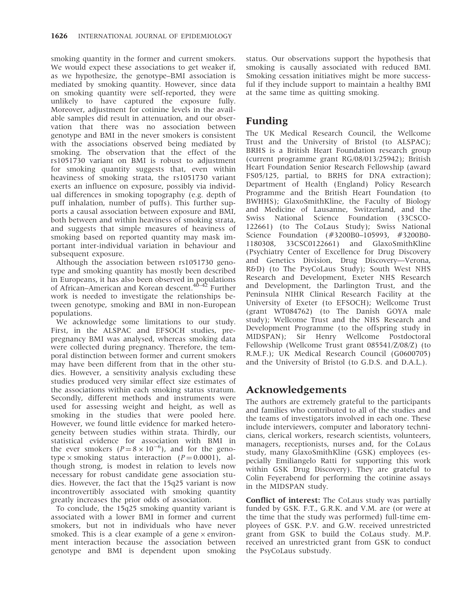smoking quantity in the former and current smokers. We would expect these associations to get weaker if, as we hypothesize, the genotype–BMI association is mediated by smoking quantity. However, since data on smoking quantity were self-reported, they were unlikely to have captured the exposure fully. Moreover, adjustment for cotinine levels in the available samples did result in attenuation, and our observation that there was no association between genotype and BMI in the never smokers is consistent with the associations observed being mediated by smoking. The observation that the effect of the rs1051730 variant on BMI is robust to adjustment for smoking quantity suggests that, even within heaviness of smoking strata, the rs1051730 variant exerts an influence on exposure, possibly via individual differences in smoking topography (e.g. depth of puff inhalation, number of puffs). This further supports a causal association between exposure and BMI, both between and within heaviness of smoking strata, and suggests that simple measures of heaviness of smoking based on reported quantity may mask important inter-individual variation in behaviour and subsequent exposure.

Although the association between rs1051730 genotype and smoking quantity has mostly been described in Europeans, it has also been observed in populations of African–American and Korean descent.<sup>40–42</sup> Further work is needed to investigate the relationships between genotype, smoking and BMI in non-European populations.

We acknowledge some limitations to our study. First, in the ALSPAC and EFSOCH studies, prepregnancy BMI was analysed, whereas smoking data were collected during pregnancy. Therefore, the temporal distinction between former and current smokers may have been different from that in the other studies. However, a sensitivity analysis excluding these studies produced very similar effect size estimates of the associations within each smoking status stratum. Secondly, different methods and instruments were used for assessing weight and height, as well as smoking in the studies that were pooled here. However, we found little evidence for marked heterogeneity between studies within strata. Thirdly, our statistical evidence for association with BMI in the ever smokers  $(P=8 \times 10^{-6})$ , and for the genotype  $\times$  smoking status interaction ( $P = 0.0001$ ), although strong, is modest in relation to levels now necessary for robust candidate gene association studies. However, the fact that the 15q25 variant is now incontrovertibly associated with smoking quantity greatly increases the prior odds of association.

To conclude, the 15q25 smoking quantity variant is associated with a lower BMI in former and current smokers, but not in individuals who have never smoked. This is a clear example of a gene  $\times$  environment interaction because the association between genotype and BMI is dependent upon smoking status. Our observations support the hypothesis that smoking is causally associated with reduced BMI. Smoking cessation initiatives might be more successful if they include support to maintain a healthy BMI at the same time as quitting smoking.

# Funding

The UK Medical Research Council, the Wellcome Trust and the University of Bristol (to ALSPAC); BRHS is a British Heart Foundation research group (current programme grant RG/08/013/25942); British Heart Foundation Senior Research Fellowship (award FS05/125, partial, to BRHS for DNA extraction); Department of Health (England) Policy Research Programme and the British Heart Foundation (to BWHHS); GlaxoSmithKline, the Faculty of Biology and Medicine of Lausanne, Switzerland, and the Swiss National Science Foundation (33CSCO-122661) (to The CoLaus Study); Swiss National Science Foundation (#3200B0–105993, #3200B0- 1180308, 33CSC0122661) and GlaxoSmithKline (Psychiatry Center of Excellence for Drug Discovery and Genetics Division, Drug Discovery—Verona, R&D) (to The PsyCoLaus Study); South West NHS Research and Development, Exeter NHS Research and Development, the Darlington Trust, and the Peninsula NIHR Clinical Research Facility at the University of Exeter (to EFSOCH); Wellcome Trust (grant WT084762) (to The Danish GOYA male study); Wellcome Trust and the NHS Research and Development Programme (to the offspring study in MIDSPAN); Sir Henry Wellcome Postdoctoral Fellowship (Wellcome Trust grant 085541/Z/08/Z) (to R.M.F.); UK Medical Research Council (G0600705) and the University of Bristol (to G.D.S. and D.A.L.).

# Acknowledgements

The authors are extremely grateful to the participants and families who contributed to all of the studies and the teams of investigators involved in each one. These include interviewers, computer and laboratory technicians, clerical workers, research scientists, volunteers, managers, receptionists, nurses and, for the CoLaus study, many GlaxoSmithKline (GSK) employees (especially Emiliangelo Ratti for supporting this work within GSK Drug Discovery). They are grateful to Colin Feyerabend for performing the cotinine assays in the MIDSPAN study.

Conflict of interest: The CoLaus study was partially funded by GSK. F.T., G.R.K. and V.M. are (or were at the time that the study was performed) full-time employees of GSK. P.V. and G.W. received unrestricted grant from GSK to build the CoLaus study. M.P. received an unrestricted grant from GSK to conduct the PsyCoLaus substudy.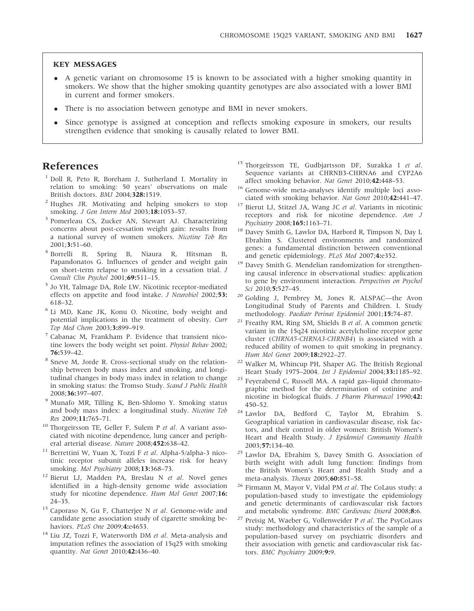## KEY MESSAGES

- A genetic variant on chromosome 15 is known to be associated with a higher smoking quantity in smokers. We show that the higher smoking quantity genotypes are also associated with a lower BMI in current and former smokers.
- There is no association between genotype and BMI in never smokers.
- Since genotype is assigned at conception and reflects smoking exposure in smokers, our results strengthen evidence that smoking is causally related to lower BMI.

# References

- <sup>1</sup> Doll R, Peto R, Boreham J, Sutherland I. Mortality in relation to smoking: 50 years' observations on male British doctors. BMJ 2004;328:1519.
- <sup>2</sup> Hughes JR. Motivating and helping smokers to stop smoking. *J Gen Intern Med* 2003;18:1053-57.
- <sup>3</sup> Pomerleau CS, Zucker AN, Stewart AJ. Characterizing concerns about post-cessation weight gain: results from a national survey of women smokers. Nicotine Tob Res 2001;3:51–60.
- <sup>4</sup> Borrelli B, Spring B, Niaura R, Hitsman B, Papandonatos G. Influences of gender and weight gain on short-term relapse to smoking in a cessation trial. J Consult Clin Psychol 2001;69:511–15.
- <sup>5</sup> Jo YH, Talmage DA, Role LW. Nicotinic receptor-mediated effects on appetite and food intake. J Neurobiol 2002;53: 618–32.
- <sup>6</sup> Li MD, Kane JK, Konu O. Nicotine, body weight and potential implications in the treatment of obesity. Curr Top Med Chem 2003;3:899-919.
- <sup>7</sup> Cabanac M, Frankham P. Evidence that transient nicotine lowers the body weight set point. Physiol Behav 2002; 76:539–42.
- <sup>8</sup> Sneve M, Jorde R. Cross-sectional study on the relationship between body mass index and smoking, and longitudinal changes in body mass index in relation to change in smoking status: the Tromso Study. Scand J Public Health 2008;36:397–407.
- <sup>9</sup> Munafo MR, Tilling K, Ben-Shlomo Y. Smoking status and body mass index: a longitudinal study. Nicotine Tob Res 2009;11:765–71.
- <sup>10</sup> Thorgeirsson TE, Geller F, Sulem P et al. A variant associated with nicotine dependence, lung cancer and peripheral arterial disease. Nature 2008;452:638–42.
- <sup>11</sup> Berrettini W, Yuan X, Tozzi F et al. Alpha-5/alpha-3 nicotinic receptor subunit alleles increase risk for heavy smoking. Mol Psychiatry 2008;13:368-73.
- <sup>12</sup> Bierut LJ, Madden PA, Breslau N et al. Novel genes identified in a high-density genome wide association study for nicotine dependence. Hum Mol Genet 2007;16: 24–35.
- $13$  Caporaso N, Gu F, Chatterjee N et al. Genome-wide and candidate gene association study of cigarette smoking behaviors. PLoS One 2009;4:e4653.
- <sup>14</sup> Liu JZ, Tozzi F, Waterworth DM et al. Meta-analysis and imputation refines the association of 15q25 with smoking quantity. Nat Genet 2010;42:436–40.
- <sup>15</sup> Thorgeirsson TE, Gudbjartsson DF, Surakka I et al. Sequence variants at CHRNB3-CHRNA6 and CYP2A6 affect smoking behavior. Nat Genet 2010;42:448–53.
- <sup>16</sup> Genome-wide meta-analyses identify multiple loci associated with smoking behavior. Nat Genet 2010;42:441–47.
- <sup>17</sup> Bierut LJ, Stitzel JA, Wang JC et al. Variants in nicotinic receptors and risk for nicotine dependence. Am J Psychiatry 2008;165:1163–71.
- <sup>18</sup> Davey Smith G, Lawlor DA, Harbord R, Timpson N, Day I, Ebrahim S. Clustered environments and randomized genes: a fundamental distinction between conventional and genetic epidemiology. PLoS Med 2007;4:e352.
- <sup>19</sup> Davey Smith G. Mendelian randomization for strengthening causal inference in observational studies: application to gene by environment interaction. Perspectives on Psychol Sci 2010;5:527-45.
- <sup>20</sup> Golding J, Pembrey M, Jones R. ALSPAC—the Avon Longitudinal Study of Parents and Children. I. Study methodology. Paediatr Perinat Epidemiol 2001;15:74–87.
- <sup>21</sup> Freathy RM, Ring SM, Shields B et al. A common genetic variant in the 15q24 nicotinic acetylcholine receptor gene cluster (CHRNA5-CHRNA3-CHRNB4) is associated with a reduced ability of women to quit smoking in pregnancy. Hum Mol Genet 2009;18:2922–27.
- <sup>22</sup> Walker M, Whincup PH, Shaper AG. The British Regional Heart Study 1975–2004. Int J Epidemiol 2004;33:1185–92.
- <sup>23</sup> Feyerabend C, Russell MA. A rapid gas–liquid chromatographic method for the determination of cotinine and nicotine in biological fluids. J Pharm Pharmacol 1990;42: 450–52.
- <sup>24</sup> Lawlor DA, Bedford C, Taylor M, Ebrahim S. Geographical variation in cardiovascular disease, risk factors, and their control in older women: British Women's Heart and Health Study. J Epidemiol Community Health 2003;57:134–40.
- <sup>25</sup> Lawlor DA, Ebrahim S, Davey Smith G. Association of birth weight with adult lung function: findings from the British Women's Heart and Health Study and a meta-analysis. Thorax 2005;60:851–58.
- Firmann M, Mayor V, Vidal PM et al. The CoLaus study: a population-based study to investigate the epidemiology and genetic determinants of cardiovascular risk factors and metabolic syndrome. BMC Cardiovasc Disord 2008;8:6.
- <sup>27</sup> Preisig M, Waeber G, Vollenweider P et al. The PsyCoLaus study: methodology and characteristics of the sample of a population-based survey on psychiatric disorders and their association with genetic and cardiovascular risk factors. BMC Psychiatry 2009;9:9.